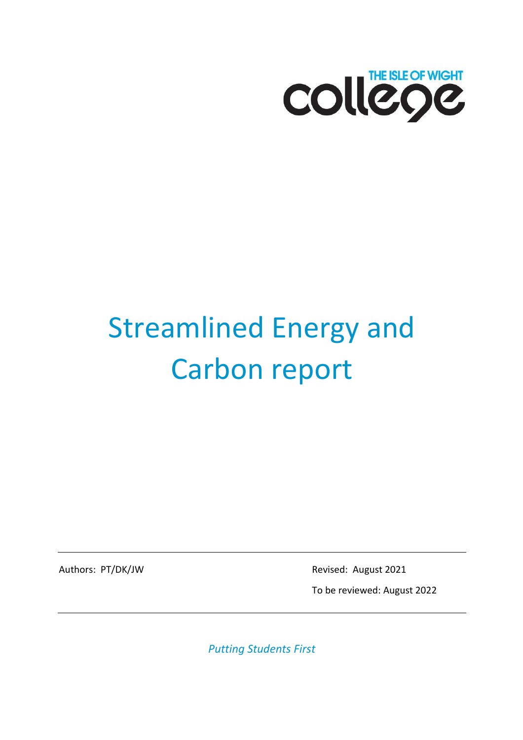

# Streamlined Energy and Carbon report

Authors: PT/DK/JW Revised: August 2021

To be reviewed: August 2022

*Putting Students First*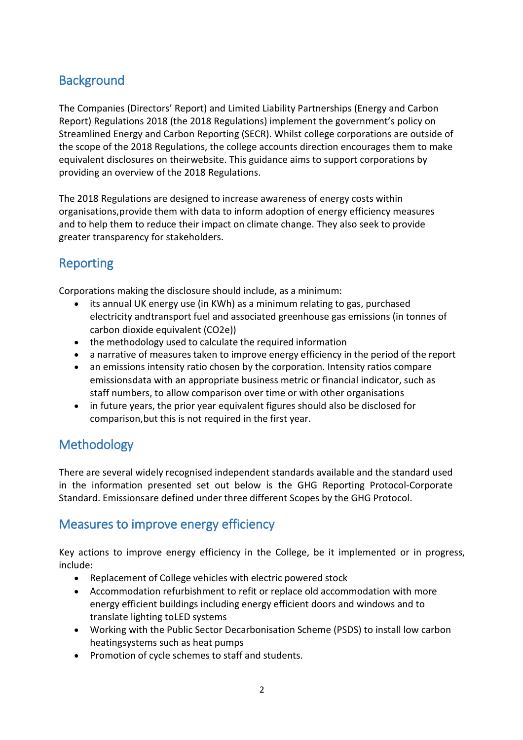#### **Background**

The Companies (Directors' Report) and Limited Liability Partnerships (Energy and Carbon Report) Regulations 2018 (the 2018 Regulations) implement the government's policy on Streamlined Energy and Carbon Reporting (SECR). Whilst college corporations are outside of the scope of the 2018 Regulations, the college accounts direction encourages them to make equivalent disclosures on theirwebsite. This guidance aims to support corporations by providing an overview of the 2018 Regulations.

The 2018 Regulations are designed to increase awareness of energy costs within organisations,provide them with data to inform adoption of energy efficiency measures and to help them to reduce their impact on climate change. They also seek to provide greater transparency for stakeholders.

#### Reporting

Corporations making the disclosure should include, as a minimum:

- its annual UK energy use (in KWh) as a minimum relating to gas, purchased electricity andtransport fuel and associated greenhouse gas emissions (in tonnes of carbon dioxide equivalent (CO2e))
- the methodology used to calculate the required information
- a narrative of measures taken to improve energy efficiency in the period of the report
- an emissions intensity ratio chosen by the corporation. Intensity ratios compare emissionsdata with an appropriate business metric or financial indicator, such as staff numbers, to allow comparison over time or with other organisations
- in future years, the prior year equivalent figures should also be disclosed for comparison,but this is not required in the first year.

### **Methodology**

There are several widely recognised independent standards available and the standard used in the information presented set out below is the GHG Reporting Protocol-Corporate Standard. Emissionsare defined under three different Scopes by the GHG Protocol.

#### Measures to improve energy efficiency

Key actions to improve energy efficiency in the College, be it implemented or in progress, include:

- Replacement of College vehicles with electric powered stock
- Accommodation refurbishment to refit or replace old accommodation with more energy efficient buildings including energy efficient doors and windows and to translate lighting toLED systems
- Working with the Public Sector Decarbonisation Scheme (PSDS) to install low carbon heatingsystems such as heat pumps
- Promotion of cycle schemes to staff and students.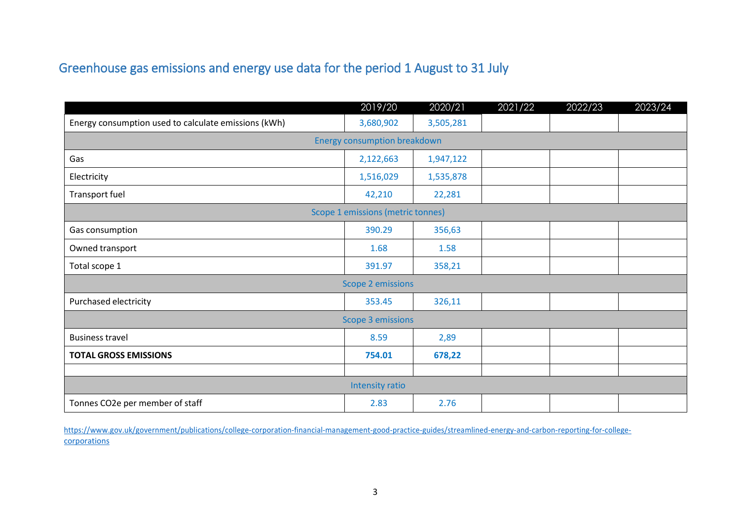## Greenhouse gas emissions and energy use data for the period 1 August to 31 July

|                                                      | 2019/20   | 2020/21   | 2021/22 | 2022/23 | 2023/24 |  |  |
|------------------------------------------------------|-----------|-----------|---------|---------|---------|--|--|
| Energy consumption used to calculate emissions (kWh) | 3,680,902 | 3,505,281 |         |         |         |  |  |
| <b>Energy consumption breakdown</b>                  |           |           |         |         |         |  |  |
| Gas                                                  | 2,122,663 | 1,947,122 |         |         |         |  |  |
| Electricity                                          | 1,516,029 | 1,535,878 |         |         |         |  |  |
| Transport fuel                                       | 42,210    | 22,281    |         |         |         |  |  |
| Scope 1 emissions (metric tonnes)                    |           |           |         |         |         |  |  |
| Gas consumption                                      | 390.29    | 356,63    |         |         |         |  |  |
| Owned transport                                      | 1.68      | 1.58      |         |         |         |  |  |
| Total scope 1                                        | 391.97    | 358,21    |         |         |         |  |  |
| <b>Scope 2 emissions</b>                             |           |           |         |         |         |  |  |
| Purchased electricity                                | 353.45    | 326,11    |         |         |         |  |  |
| <b>Scope 3 emissions</b>                             |           |           |         |         |         |  |  |
| <b>Business travel</b>                               | 8.59      | 2,89      |         |         |         |  |  |
| <b>TOTAL GROSS EMISSIONS</b>                         | 754.01    | 678,22    |         |         |         |  |  |
|                                                      |           |           |         |         |         |  |  |
| Intensity ratio                                      |           |           |         |         |         |  |  |
| Tonnes CO2e per member of staff                      | 2.83      | 2.76      |         |         |         |  |  |

https:/[/www.gov.uk/government/publications/college-corporation-financial-management-good-practice-guides/streamlined-energy-and-carbon-reporting-for-college](http://www.gov.uk/government/publications/college-corporation-financial-management-good-practice-guides/streamlined-energy-and-carbon-reporting-for-college-)corporations